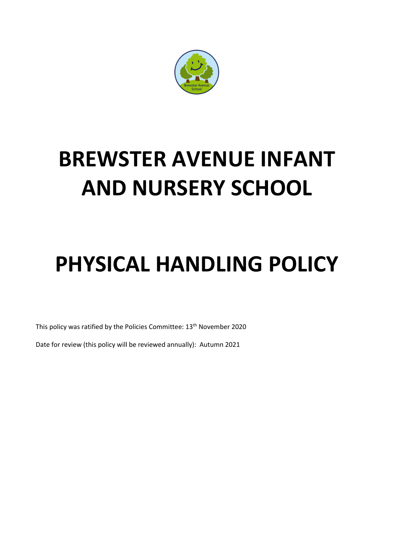

# **BREWSTER AVENUE INFANT AND NURSERY SCHOOL**

## **PHYSICAL HANDLING POLICY**

This policy was ratified by the Policies Committee: 13<sup>th</sup> November 2020

Date for review (this policy will be reviewed annually): Autumn 2021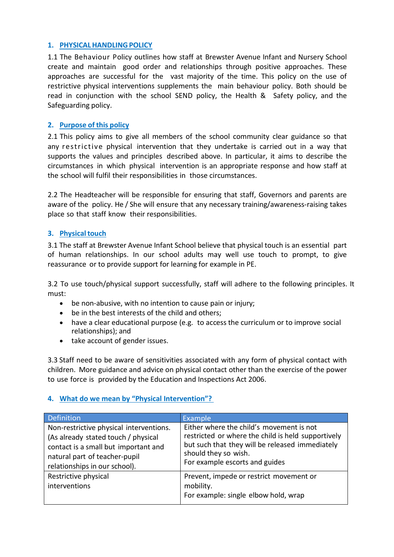### **1. PHYSICALHANDLINGPOLICY**

1.1 The Behaviour Policy outlines how staff at Brewster Avenue Infant and Nursery School create and maintain good order and relationships through positive approaches. These approaches are successful for the vast majority of the time. This policy on the use of restrictive physical interventions supplements the main behaviour policy. Both should be read in conjunction with the school SEND policy, the Health & Safety policy, and the Safeguarding policy.

## **2. Purpose of this policy**

2.1 This policy aims to give all members of the school community clear guidance so that any restrictive physical intervention that they undertake is carried out in a way that supports the values and principles described above. In particular, it aims to describe the circumstances in which physical intervention is an appropriate response and how staff at the school will fulfil their responsibilities in those circumstances.

2.2 The Headteacher will be responsible for ensuring that staff, Governors and parents are aware of the policy. He / She will ensure that any necessary training/awareness-raising takes place so that staff know their responsibilities.

## **3.** Physical touch

3.1 The staff at Brewster Avenue Infant School believe that physical touch is an essential part of human relationships. In our school adults may well use touch to prompt, to give reassurance or to provide support for learning for example in PE.

3.2 To use touch/physical support successfully, staff will adhere to the following principles. It must:

- be non-abusive, with no intention to cause pain or injury;
- be in the best interests of the child and others;
- have a clear educational purpose (e.g. to access the curriculum or to improve social relationships); and
- take account of gender issues.

3.3 Staff need to be aware of sensitivities associated with any form of physical contact with children. More guidance and advice on physical contact other than the exercise of the power to use force is provided by the Education and Inspections Act 2006.

## **4. What do we mean by "Physical Intervention"?**

| <b>Definition</b>                                                                                                                                                                        | Example                                                                                                                                                                                                     |
|------------------------------------------------------------------------------------------------------------------------------------------------------------------------------------------|-------------------------------------------------------------------------------------------------------------------------------------------------------------------------------------------------------------|
| Non-restrictive physical interventions.<br>(As already stated touch / physical<br>contact is a small but important and<br>natural part of teacher-pupil<br>relationships in our school). | Either where the child's movement is not<br>restricted or where the child is held supportively<br>but such that they will be released immediately<br>should they so wish.<br>For example escorts and guides |
| Restrictive physical<br>interventions                                                                                                                                                    | Prevent, impede or restrict movement or<br>mobility.<br>For example: single elbow hold, wrap                                                                                                                |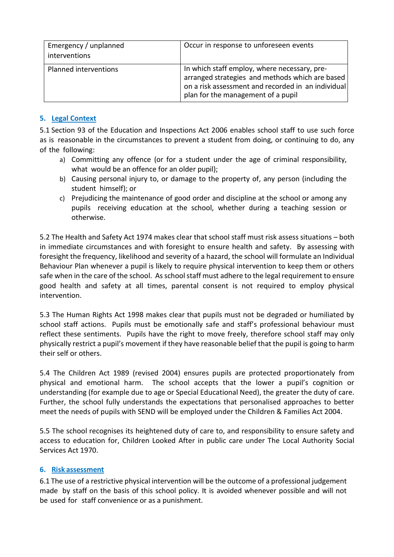| Emergency / unplanned<br>interventions | Occur in response to unforeseen events                                                                                                                                                      |
|----------------------------------------|---------------------------------------------------------------------------------------------------------------------------------------------------------------------------------------------|
| Planned interventions                  | In which staff employ, where necessary, pre-<br>arranged strategies and methods which are based<br>on a risk assessment and recorded in an individual<br>plan for the management of a pupil |

## **5. Legal Context**

5.1 Section 93 of the Education and Inspections Act 2006 enables school staff to use such force as is reasonable in the circumstances to prevent a student from doing, or continuing to do, any of the following:

- a) Committing any offence (or for a student under the age of criminal responsibility, what would be an offence for an older pupil);
- b) Causing personal injury to, or damage to the property of, any person (including the student himself); or
- c) Prejudicing the maintenance of good order and discipline at the school or among any pupils receiving education at the school, whether during a teaching session or otherwise.

5.2 The Health and Safety Act 1974 makes clear that school staff must risk assess situations – both in immediate circumstances and with foresight to ensure health and safety. By assessing with foresight the frequency, likelihood and severity of a hazard, the school will formulate an Individual Behaviour Plan whenever a pupil is likely to require physical intervention to keep them or others safe when in the care of the school. As school staff must adhere to the legal requirement to ensure good health and safety at all times, parental consent is not required to employ physical intervention.

5.3 The Human Rights Act 1998 makes clear that pupils must not be degraded or humiliated by school staff actions. Pupils must be emotionally safe and staff's professional behaviour must reflect these sentiments. Pupils have the right to move freely, therefore school staff may only physically restrict a pupil's movement if they have reasonable belief that the pupil is going to harm their self or others.

5.4 The Children Act 1989 (revised 2004) ensures pupils are protected proportionately from physical and emotional harm. The school accepts that the lower a pupil's cognition or understanding (for example due to age or Special Educational Need), the greater the duty of care. Further, the school fully understands the expectations that personalised approaches to better meet the needs of pupils with SEND will be employed under the Children & Families Act 2004.

5.5 The school recognises its heightened duty of care to, and responsibility to ensure safety and access to education for, Children Looked After in public care under The Local Authority Social Services Act 1970.

## **6. Risk assessment**

6.1 The use of a restrictive physical intervention will be the outcome of a professional judgement made by staff on the basis of this school policy. It is avoided whenever possible and will not be used for staff convenience or as a punishment.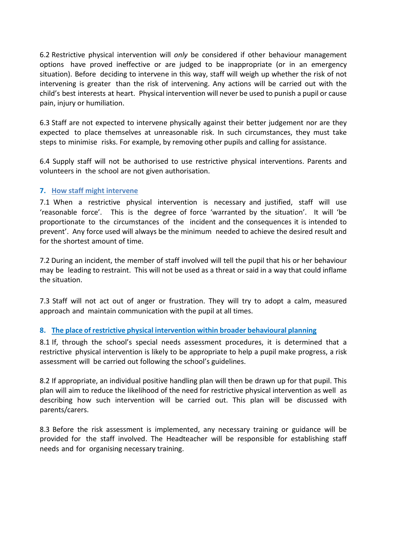6.2 Restrictive physical intervention will *only* be considered if other behaviour management options have proved ineffective or are judged to be inappropriate (or in an emergency situation). Before deciding to intervene in this way, staff will weigh up whether the risk of not intervening is greater than the risk of intervening. Any actions will be carried out with the child's best interests at heart. Physical intervention will never be used to punish a pupil or cause pain, injury or humiliation.

6.3 Staff are not expected to intervene physically against their better judgement nor are they expected to place themselves at unreasonable risk. In such circumstances, they must take steps to minimise risks. For example, by removing other pupils and calling for assistance.

6.4 Supply staff will not be authorised to use restrictive physical interventions. Parents and volunteers in the school are not given authorisation.

## **7. How staff might intervene**

7.1 When a restrictive physical intervention is necessary and justified, staff will use 'reasonable force'. This is the degree of force 'warranted by the situation'. It will 'be proportionate to the circumstances of the incident and the consequences it is intended to prevent'. Any force used will always be the minimum needed to achieve the desired result and for the shortest amount of time.

7.2 During an incident, the member of staff involved will tell the pupil that his or her behaviour may be leading to restraint. This will not be used as a threat or said in a way that could inflame the situation.

7.3 Staff will not act out of anger or frustration. They will try to adopt a calm, measured approach and maintain communication with the pupil at all times.

## **8. The place of restrictive physical intervention within broader behavioural planning**

8.1 If, through the school's special needs assessment procedures, it is determined that a restrictive physical intervention is likely to be appropriate to help a pupil make progress, a risk assessment will be carried out following the school's guidelines.

8.2 If appropriate, an individual positive handling plan will then be drawn up for that pupil. This plan will aim to reduce the likelihood of the need for restrictive physical intervention as well as describing how such intervention will be carried out. This plan will be discussed with parents/carers.

8.3 Before the risk assessment is implemented, any necessary training or guidance will be provided for the staff involved. The Headteacher will be responsible for establishing staff needs and for organising necessary training.